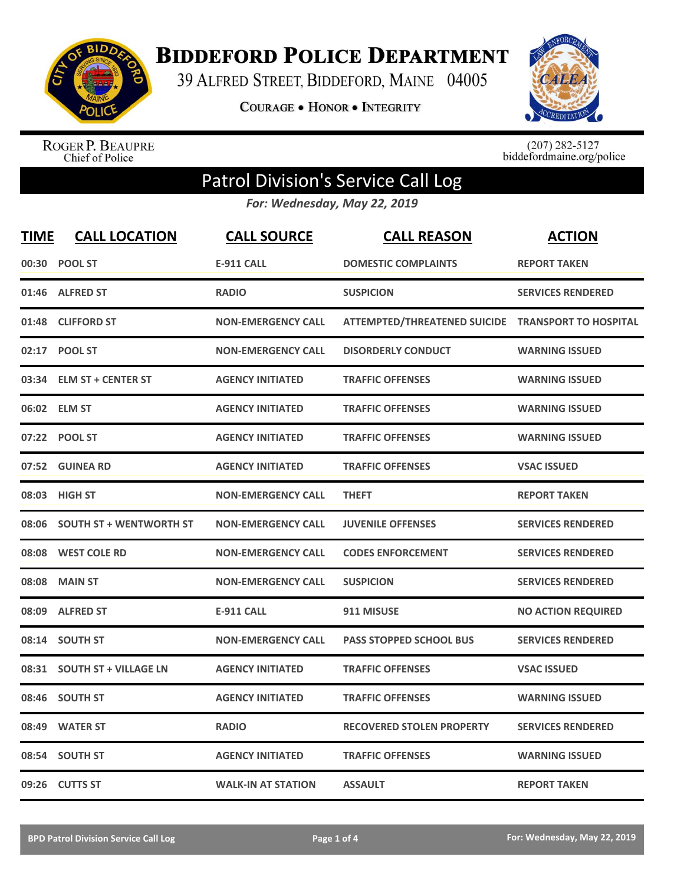

**BIDDEFORD POLICE DEPARTMENT** 

39 ALFRED STREET, BIDDEFORD, MAINE 04005

**COURAGE . HONOR . INTEGRITY** 



ROGER P. BEAUPRE<br>Chief of Police

 $(207)$  282-5127<br>biddefordmaine.org/police

## Patrol Division's Service Call Log

*For: Wednesday, May 22, 2019*

| <b>TIME</b> | <b>CALL LOCATION</b>           | <b>CALL SOURCE</b>        | <b>CALL REASON</b>                                 | <b>ACTION</b>             |
|-------------|--------------------------------|---------------------------|----------------------------------------------------|---------------------------|
|             | 00:30 POOL ST                  | <b>E-911 CALL</b>         | <b>DOMESTIC COMPLAINTS</b>                         | <b>REPORT TAKEN</b>       |
|             | 01:46 ALFRED ST                | <b>RADIO</b>              | <b>SUSPICION</b>                                   | <b>SERVICES RENDERED</b>  |
| 01:48       | <b>CLIFFORD ST</b>             | <b>NON-EMERGENCY CALL</b> | ATTEMPTED/THREATENED SUICIDE TRANSPORT TO HOSPITAL |                           |
|             | 02:17 POOL ST                  | <b>NON-EMERGENCY CALL</b> | <b>DISORDERLY CONDUCT</b>                          | <b>WARNING ISSUED</b>     |
| 03:34       | <b>ELM ST + CENTER ST</b>      | <b>AGENCY INITIATED</b>   | <b>TRAFFIC OFFENSES</b>                            | <b>WARNING ISSUED</b>     |
|             | 06:02 ELM ST                   | <b>AGENCY INITIATED</b>   | <b>TRAFFIC OFFENSES</b>                            | <b>WARNING ISSUED</b>     |
|             | 07:22 POOL ST                  | <b>AGENCY INITIATED</b>   | <b>TRAFFIC OFFENSES</b>                            | <b>WARNING ISSUED</b>     |
|             | 07:52 GUINEA RD                | <b>AGENCY INITIATED</b>   | <b>TRAFFIC OFFENSES</b>                            | <b>VSAC ISSUED</b>        |
|             | 08:03 HIGH ST                  | <b>NON-EMERGENCY CALL</b> | <b>THEFT</b>                                       | <b>REPORT TAKEN</b>       |
| 08:06       | <b>SOUTH ST + WENTWORTH ST</b> | <b>NON-EMERGENCY CALL</b> | <b>JUVENILE OFFENSES</b>                           | <b>SERVICES RENDERED</b>  |
|             | 08:08 WEST COLE RD             | <b>NON-EMERGENCY CALL</b> | <b>CODES ENFORCEMENT</b>                           | <b>SERVICES RENDERED</b>  |
| 08:08       | <b>MAIN ST</b>                 | <b>NON-EMERGENCY CALL</b> | <b>SUSPICION</b>                                   | <b>SERVICES RENDERED</b>  |
| 08:09       | <b>ALFRED ST</b>               | <b>E-911 CALL</b>         | 911 MISUSE                                         | <b>NO ACTION REQUIRED</b> |
| 08:14       | <b>SOUTH ST</b>                | <b>NON-EMERGENCY CALL</b> | <b>PASS STOPPED SCHOOL BUS</b>                     | <b>SERVICES RENDERED</b>  |
| 08:31       | <b>SOUTH ST + VILLAGE LN</b>   | <b>AGENCY INITIATED</b>   | <b>TRAFFIC OFFENSES</b>                            | <b>VSAC ISSUED</b>        |
| 08:46       | <b>SOUTH ST</b>                | <b>AGENCY INITIATED</b>   | <b>TRAFFIC OFFENSES</b>                            | <b>WARNING ISSUED</b>     |
| 08:49       | <b>WATER ST</b>                | <b>RADIO</b>              | <b>RECOVERED STOLEN PROPERTY</b>                   | <b>SERVICES RENDERED</b>  |
| 08:54       | <b>SOUTH ST</b>                | <b>AGENCY INITIATED</b>   | <b>TRAFFIC OFFENSES</b>                            | <b>WARNING ISSUED</b>     |
|             | 09:26 CUTTS ST                 | <b>WALK-IN AT STATION</b> | <b>ASSAULT</b>                                     | <b>REPORT TAKEN</b>       |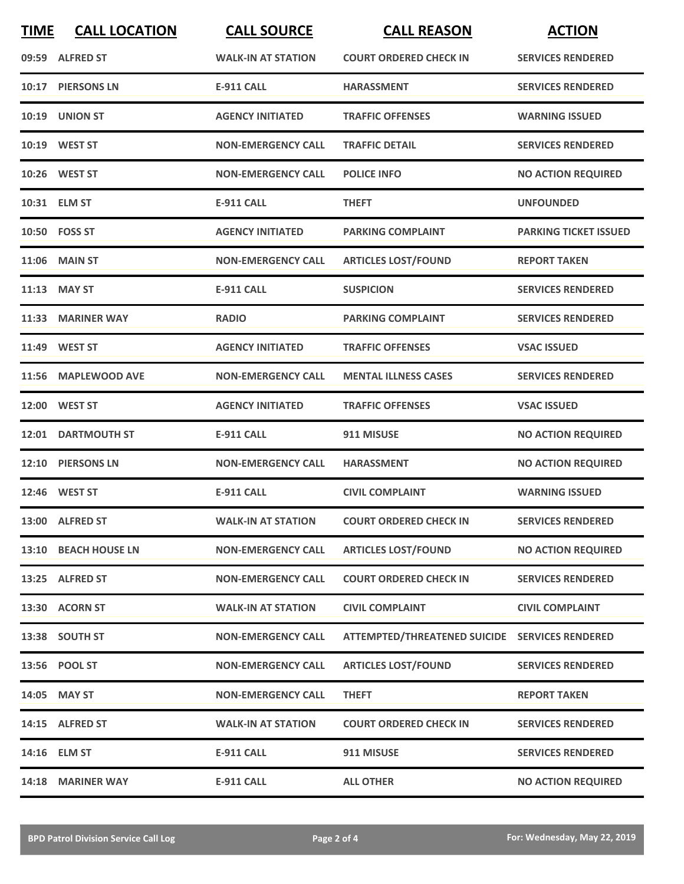| <b>TIME</b> | <b>CALL LOCATION</b> | <b>CALL SOURCE</b>        | <b>CALL REASON</b>                             | <b>ACTION</b>                |
|-------------|----------------------|---------------------------|------------------------------------------------|------------------------------|
|             | 09:59 ALFRED ST      | <b>WALK-IN AT STATION</b> | <b>COURT ORDERED CHECK IN</b>                  | <b>SERVICES RENDERED</b>     |
|             | 10:17 PIERSONS LN    | <b>E-911 CALL</b>         | <b>HARASSMENT</b>                              | <b>SERVICES RENDERED</b>     |
|             | 10:19 UNION ST       | <b>AGENCY INITIATED</b>   | <b>TRAFFIC OFFENSES</b>                        | <b>WARNING ISSUED</b>        |
|             | 10:19 WEST ST        | <b>NON-EMERGENCY CALL</b> | <b>TRAFFIC DETAIL</b>                          | <b>SERVICES RENDERED</b>     |
|             | 10:26 WEST ST        | <b>NON-EMERGENCY CALL</b> | <b>POLICE INFO</b>                             | <b>NO ACTION REQUIRED</b>    |
|             | 10:31 ELM ST         | <b>E-911 CALL</b>         | <b>THEFT</b>                                   | <b>UNFOUNDED</b>             |
|             | 10:50 FOSS ST        | <b>AGENCY INITIATED</b>   | <b>PARKING COMPLAINT</b>                       | <b>PARKING TICKET ISSUED</b> |
|             | <b>11:06 MAIN ST</b> | <b>NON-EMERGENCY CALL</b> | <b>ARTICLES LOST/FOUND</b>                     | <b>REPORT TAKEN</b>          |
|             | 11:13 MAY ST         | <b>E-911 CALL</b>         | <b>SUSPICION</b>                               | <b>SERVICES RENDERED</b>     |
|             | 11:33 MARINER WAY    | <b>RADIO</b>              | <b>PARKING COMPLAINT</b>                       | <b>SERVICES RENDERED</b>     |
|             | 11:49 WEST ST        | <b>AGENCY INITIATED</b>   | <b>TRAFFIC OFFENSES</b>                        | <b>VSAC ISSUED</b>           |
| 11:56       | <b>MAPLEWOOD AVE</b> | <b>NON-EMERGENCY CALL</b> | <b>MENTAL ILLNESS CASES</b>                    | <b>SERVICES RENDERED</b>     |
|             | 12:00 WEST ST        | <b>AGENCY INITIATED</b>   | <b>TRAFFIC OFFENSES</b>                        | <b>VSAC ISSUED</b>           |
|             | 12:01 DARTMOUTH ST   | <b>E-911 CALL</b>         | 911 MISUSE                                     | <b>NO ACTION REQUIRED</b>    |
| 12:10       | <b>PIERSONS LN</b>   | <b>NON-EMERGENCY CALL</b> | <b>HARASSMENT</b>                              | <b>NO ACTION REQUIRED</b>    |
|             | 12:46 WEST ST        | <b>E-911 CALL</b>         | <b>CIVIL COMPLAINT</b>                         | <b>WARNING ISSUED</b>        |
|             | 13:00 ALFRED ST      | <b>WALK-IN AT STATION</b> | <b>COURT ORDERED CHECK IN</b>                  | <b>SERVICES RENDERED</b>     |
|             | 13:10 BEACH HOUSE LN | <b>NON-EMERGENCY CALL</b> | <b>ARTICLES LOST/FOUND</b>                     | <b>NO ACTION REQUIRED</b>    |
|             | 13:25 ALFRED ST      | <b>NON-EMERGENCY CALL</b> | <b>COURT ORDERED CHECK IN</b>                  | <b>SERVICES RENDERED</b>     |
|             | 13:30 ACORN ST       | <b>WALK-IN AT STATION</b> | <b>CIVIL COMPLAINT</b>                         | <b>CIVIL COMPLAINT</b>       |
|             | 13:38 SOUTH ST       | <b>NON-EMERGENCY CALL</b> | ATTEMPTED/THREATENED SUICIDE SERVICES RENDERED |                              |
|             | 13:56 POOL ST        | <b>NON-EMERGENCY CALL</b> | <b>ARTICLES LOST/FOUND</b>                     | <b>SERVICES RENDERED</b>     |
|             | 14:05 MAY ST         | <b>NON-EMERGENCY CALL</b> | <b>THEFT</b>                                   | <b>REPORT TAKEN</b>          |
|             | 14:15 ALFRED ST      | <b>WALK-IN AT STATION</b> | <b>COURT ORDERED CHECK IN</b>                  | <b>SERVICES RENDERED</b>     |
|             | 14:16 ELM ST         | <b>E-911 CALL</b>         | 911 MISUSE                                     | <b>SERVICES RENDERED</b>     |
|             | 14:18 MARINER WAY    | E-911 CALL                | <b>ALL OTHER</b>                               | <b>NO ACTION REQUIRED</b>    |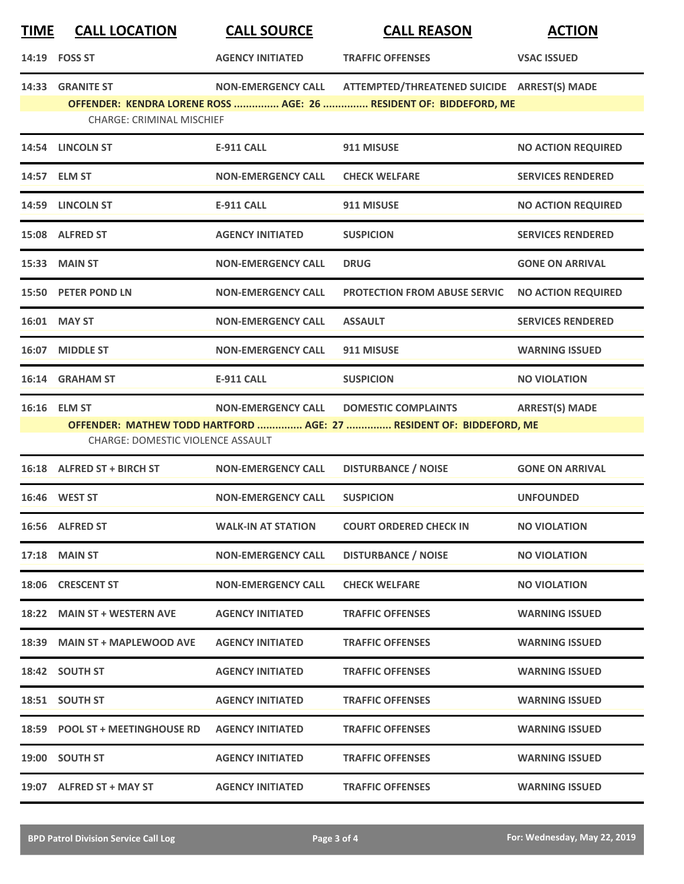| <u>TIME</u> | <b>CALL LOCATION</b>                                     | <b>CALL SOURCE</b>        | <b>CALL REASON</b>                                                                                               | <b>ACTION</b>             |
|-------------|----------------------------------------------------------|---------------------------|------------------------------------------------------------------------------------------------------------------|---------------------------|
|             | 14:19 FOSS ST                                            | <b>AGENCY INITIATED</b>   | <b>TRAFFIC OFFENSES</b>                                                                                          | <b>VSAC ISSUED</b>        |
|             | 14:33 GRANITE ST<br><b>CHARGE: CRIMINAL MISCHIEF</b>     | <b>NON-EMERGENCY CALL</b> | ATTEMPTED/THREATENED SUICIDE ARREST(S) MADE<br>OFFENDER: KENDRA LORENE ROSS  AGE: 26  RESIDENT OF: BIDDEFORD, ME |                           |
|             | 14:54 LINCOLN ST                                         | <b>E-911 CALL</b>         | 911 MISUSE                                                                                                       | <b>NO ACTION REQUIRED</b> |
|             | 14:57 ELM ST                                             | <b>NON-EMERGENCY CALL</b> | <b>CHECK WELFARE</b>                                                                                             | <b>SERVICES RENDERED</b>  |
|             | 14:59 LINCOLN ST                                         | E-911 CALL                | 911 MISUSE                                                                                                       | <b>NO ACTION REQUIRED</b> |
|             | 15:08 ALFRED ST                                          | <b>AGENCY INITIATED</b>   | <b>SUSPICION</b>                                                                                                 | <b>SERVICES RENDERED</b>  |
|             | 15:33 MAIN ST                                            | <b>NON-EMERGENCY CALL</b> | <b>DRUG</b>                                                                                                      | <b>GONE ON ARRIVAL</b>    |
|             | 15:50 PETER POND LN                                      | <b>NON-EMERGENCY CALL</b> | <b>PROTECTION FROM ABUSE SERVIC</b>                                                                              | <b>NO ACTION REQUIRED</b> |
|             | 16:01 MAY ST                                             | <b>NON-EMERGENCY CALL</b> | <b>ASSAULT</b>                                                                                                   | <b>SERVICES RENDERED</b>  |
|             | 16:07 MIDDLE ST                                          | <b>NON-EMERGENCY CALL</b> | 911 MISUSE                                                                                                       | <b>WARNING ISSUED</b>     |
|             | 16:14 GRAHAM ST                                          | E-911 CALL                | <b>SUSPICION</b>                                                                                                 | <b>NO VIOLATION</b>       |
|             | 16:16 ELM ST<br><b>CHARGE: DOMESTIC VIOLENCE ASSAULT</b> | <b>NON-EMERGENCY CALL</b> | <b>DOMESTIC COMPLAINTS</b><br>OFFENDER: MATHEW TODD HARTFORD  AGE: 27  RESIDENT OF: BIDDEFORD, ME                | <b>ARREST(S) MADE</b>     |
|             | 16:18 ALFRED ST + BIRCH ST                               | <b>NON-EMERGENCY CALL</b> | <b>DISTURBANCE / NOISE</b>                                                                                       | <b>GONE ON ARRIVAL</b>    |
|             | 16:46 WEST ST                                            | <b>NON-EMERGENCY CALL</b> | <b>SUSPICION</b>                                                                                                 | <b>UNFOUNDED</b>          |
|             | 16:56 ALFRED ST                                          | <b>WALK-IN AT STATION</b> | <b>COURT ORDERED CHECK IN</b>                                                                                    | <b>NO VIOLATION</b>       |
|             | <b>17:18 MAIN ST</b>                                     | <b>NON-EMERGENCY CALL</b> | <b>DISTURBANCE / NOISE</b>                                                                                       | <b>NO VIOLATION</b>       |
|             | 18:06 CRESCENT ST                                        | <b>NON-EMERGENCY CALL</b> | <b>CHECK WELFARE</b>                                                                                             | <b>NO VIOLATION</b>       |
|             | 18:22 MAIN ST + WESTERN AVE                              | <b>AGENCY INITIATED</b>   | <b>TRAFFIC OFFENSES</b>                                                                                          | <b>WARNING ISSUED</b>     |
|             | 18:39 MAIN ST + MAPLEWOOD AVE                            | <b>AGENCY INITIATED</b>   | <b>TRAFFIC OFFENSES</b>                                                                                          | <b>WARNING ISSUED</b>     |
|             | 18:42 SOUTH ST                                           | <b>AGENCY INITIATED</b>   | <b>TRAFFIC OFFENSES</b>                                                                                          | <b>WARNING ISSUED</b>     |
|             | 18:51 SOUTH ST                                           | <b>AGENCY INITIATED</b>   | <b>TRAFFIC OFFENSES</b>                                                                                          | <b>WARNING ISSUED</b>     |
|             | 18:59 POOL ST + MEETINGHOUSE RD                          | <b>AGENCY INITIATED</b>   | <b>TRAFFIC OFFENSES</b>                                                                                          | <b>WARNING ISSUED</b>     |
|             | 19:00 SOUTH ST                                           | <b>AGENCY INITIATED</b>   | <b>TRAFFIC OFFENSES</b>                                                                                          | <b>WARNING ISSUED</b>     |
|             | 19:07 ALFRED ST + MAY ST                                 | <b>AGENCY INITIATED</b>   | <b>TRAFFIC OFFENSES</b>                                                                                          | <b>WARNING ISSUED</b>     |